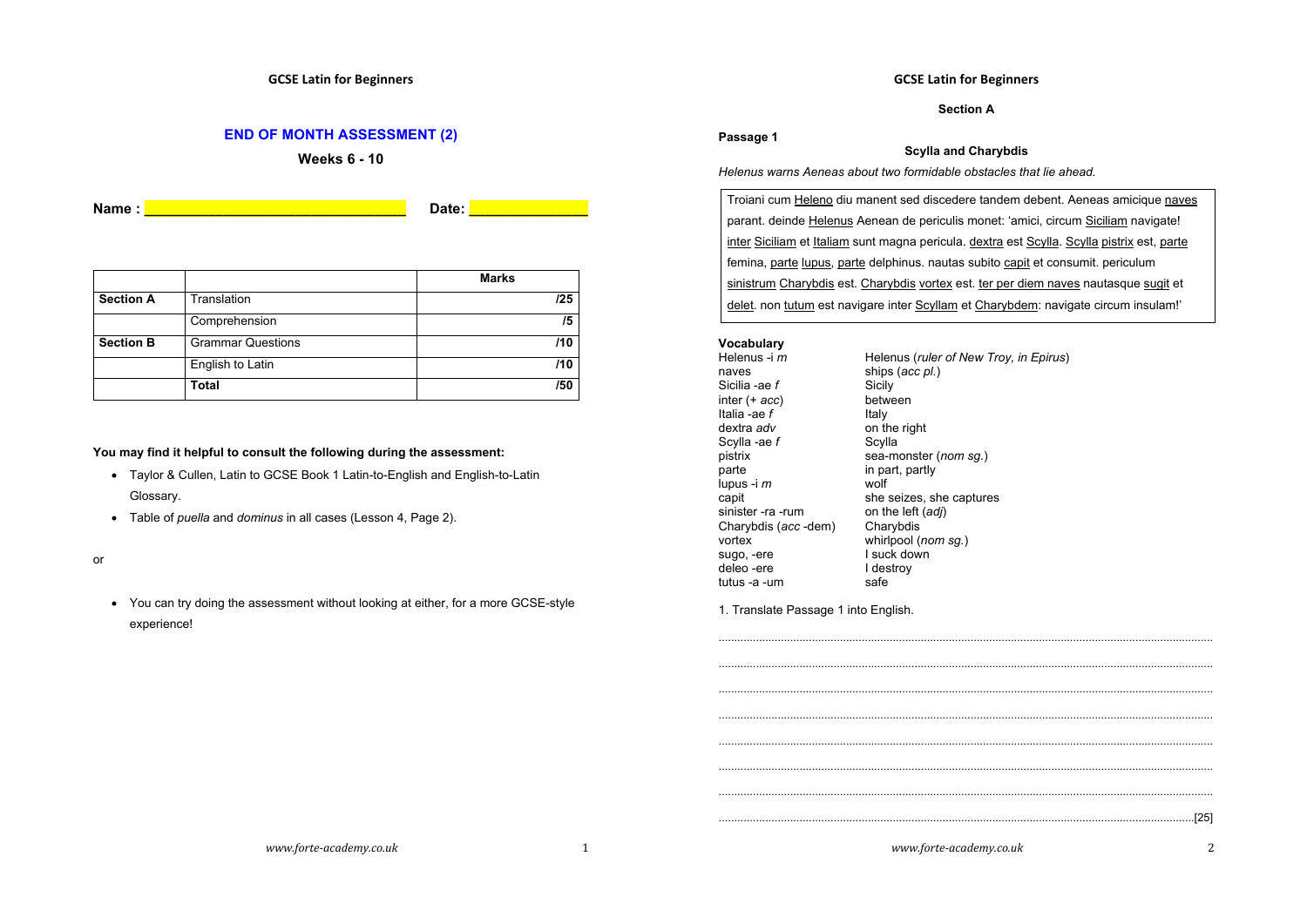### **END OF MONTH ASSESSMENT (2)**

**Weeks 6 - 10**

**Name : \_\_\_\_\_\_\_\_\_\_\_\_\_\_\_\_\_\_\_\_\_\_\_\_\_\_\_\_\_\_\_\_\_ Date: \_\_\_\_\_\_\_\_\_\_\_\_\_\_\_**

|                  |                          | <b>Marks</b> |
|------------------|--------------------------|--------------|
| <b>Section A</b> | Translation              | 125          |
|                  | Comprehension            | /5           |
| <b>Section B</b> | <b>Grammar Questions</b> | /10          |
|                  | English to Latin         | /10          |
|                  | Total                    | /50          |

#### **You may find it helpful to consult the following during the assessment:**

- Taylor & Cullen, Latin to GCSE Book 1 Latin-to-English and English-to-Latin Glossary.
- Table of *puella* and *dominus* in all cases (Lesson 4, Page 2).

or

• You can try doing the assessment without looking at either, for a more GCSE-style experience!

### **GCSE Latin for Beginners**

**Section A**

# **Passage 1**

#### **Scylla and Charybdis**

*Helenus warns Aeneas about two formidable obstacles that lie ahead.*

Troiani cum Heleno diu manent sed discedere tandem debent. Aeneas amicique naves parant. deinde Helenus Aenean de periculis monet: 'amici, circum Siciliam navigate! inter Siciliam et Italiam sunt magna pericula. dextra est Scylla. Scylla pistrix est, parte femina, parte lupus, parte delphinus. nautas subito capit et consumit. periculum sinistrum Charybdis est. Charybdis vortex est. ter per diem naves nautasque sugit et delet. non tutum est navigare inter Scyllam et Charybdem: navigate circum insulam!'

# **Vocabulary**

Helenus -i *m* Helenus (*ruler of New Troy, in Epirus*)<br>naves ships (acc pl) ships (*acc pl.*)<br>Sicily Sicilia -ae *f* Sicily **Sicilary**<br>
inter (+ *acc*) between inter (+ *acc*) between talia -ae f between the between the between the between the between the between the between the between the between the between the between the between the between the between the between the betwee Italia -ae $f$ dextra *adv* on the right<br>Scylla -ae *f* Scylla Scylla -ae *f* pistrix parte  $\frac{1}{2}$  in part, partly lupus -i  $m$ lupus -i *m* capit she seizes, she captures<br>sinister -ra -rum on the left  $(adi)$ sinister -ra -rum on the left<br>Charybdis (*acc* -dem) Charybdis Charybdis (acc-dem)<br>vortex whirlpool (*nom sq.*) sugo, -ere I suck down<br>deleo -ere I destroy deleo -ere I des<br>tutus -a -um safe tutus - $a$  -um

sea-monster (nom sg.)

1. Translate Passage 1 into English.

*www.forte-academy.co.uk* 1

............................................................................................................................................................... ............................................................................................................................................................... ............................................................................................................................................................... ............................................................................................................................................................... ............................................................................................................................................................... ............................................................................................................................................................... ............................................................................................................................................................... .........................................................................................................................................................[25]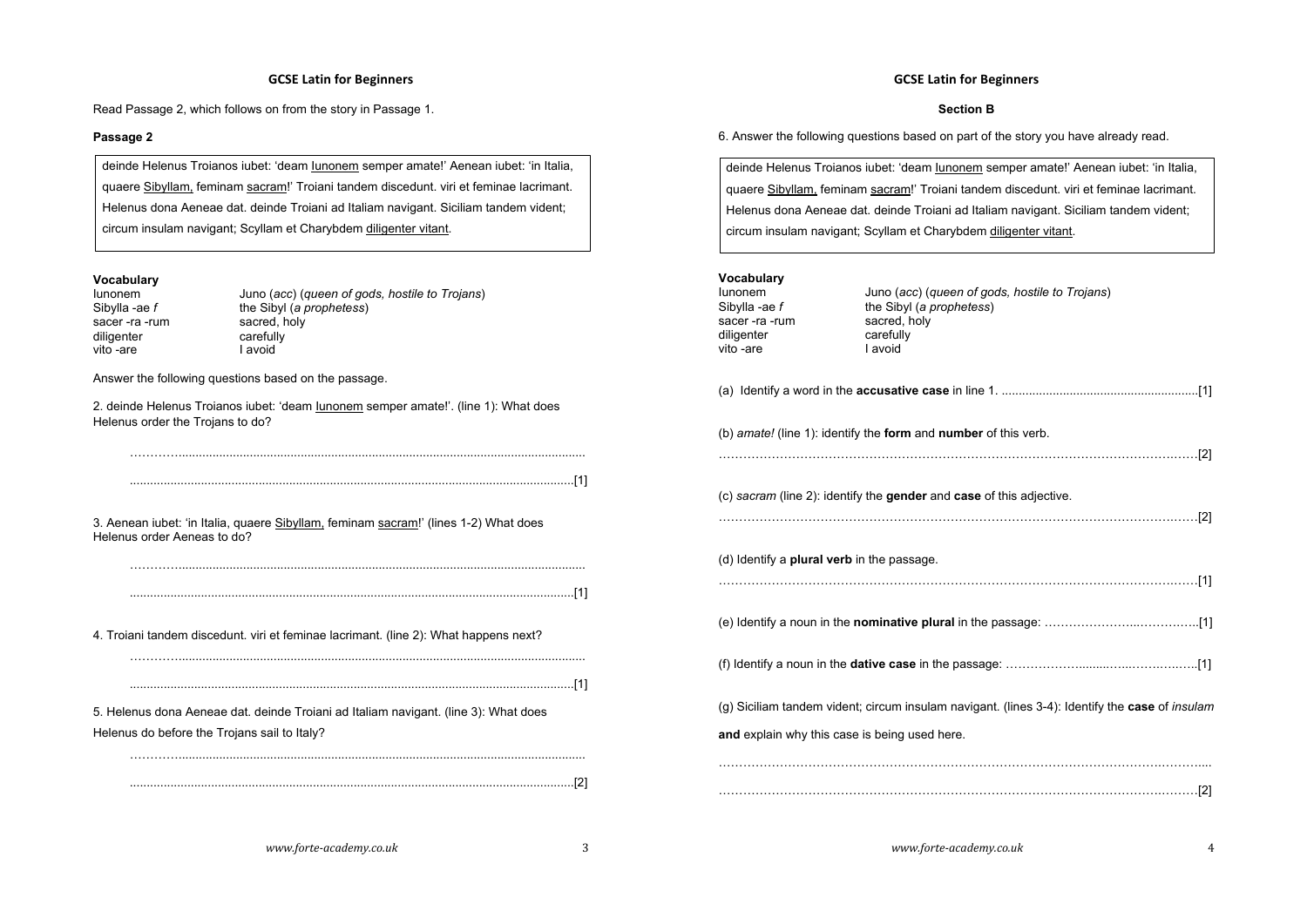#### **GCSE Latin for Beginners**

Read Passage 2, which follows on from the story in Passage 1.

#### **Passage 2**

deinde Helenus Troianos iubet: 'deam Iunonem semper amate!' Aenean iubet: 'in Italia, quaere Sibyllam, feminam sacram!' Troiani tandem discedunt. viri et feminae lacrimant. Helenus dona Aeneae dat. deinde Troiani ad Italiam navigant. Siciliam tandem vident; circum insulam navigant; Scyllam et Charybdem diligenter vitant.

# **Vocabulary**

| lunonem              | Juno (acc) (queen of gods, hostile to Trojans) |
|----------------------|------------------------------------------------|
| Sibylla -ae <i>f</i> | the Sibyl (a prophetess)                       |
| sacer -ra -rum       | sacred, holy                                   |
| diligenter           | carefully                                      |
| vito -are            | I avoid                                        |
|                      |                                                |

Answer the following questions based on the passage.

2. deinde Helenus Troianos iubet: 'deam Iunonem semper amate!'. (line 1): What does Helenus order the Trojans to do?

…………........................................................................................................................

…………........................................................................................................................

…………........................................................................................................................

...................................................................................................................................[1]

3. Aenean iubet: 'in Italia, quaere Sibyllam, feminam sacram!' (lines 1-2) What does Helenus order Aeneas to do?

...................................................................................................................................[1]

4. Troiani tandem discedunt. viri et feminae lacrimant. (line 2): What happens next?

...................................................................................................................................[1]

5. Helenus dona Aeneae dat. deinde Troiani ad Italiam navigant. (line 3): What does Helenus do before the Trojans sail to Italy?

...................................................................................................................................[2]

### **GCSE Latin for Beginners**

#### **Section B**

6. Answer the following questions based on part of the story you have already read.

deinde Helenus Troianos iubet: 'deam Iunonem semper amate!' Aenean iubet: 'in Italia, quaere Sibyllam, feminam sacram!' Troiani tandem discedunt. viri et feminae lacrimant. Helenus dona Aeneae dat. deinde Troiani ad Italiam navigant. Siciliam tandem vident; circum insulam navigant; Scyllam et Charybdem diligenter vitant.

# **Vocabulary**

| lunonem<br>Sibylla -ae f<br>sacer-ra-rum<br>diligenter<br>vito -are | Juno (acc) (queen of gods, hostile to Trojans)<br>the Sibyl (a prophetess)<br>sacred, holy<br>carefully<br>I avoid |
|---------------------------------------------------------------------|--------------------------------------------------------------------------------------------------------------------|
|                                                                     |                                                                                                                    |
|                                                                     | (b) amate! (line 1): identify the form and number of this verb.                                                    |
|                                                                     | (c) sacram (line 2): identify the gender and case of this adjective.                                               |
| (d) Identify a <b>plural verb</b> in the passage.                   |                                                                                                                    |
|                                                                     |                                                                                                                    |
|                                                                     |                                                                                                                    |
|                                                                     | (g) Siciliam tandem vident; circum insulam navigant. (lines 3-4): Identify the case of insulam                     |
| and explain why this case is being used here.                       |                                                                                                                    |
|                                                                     |                                                                                                                    |